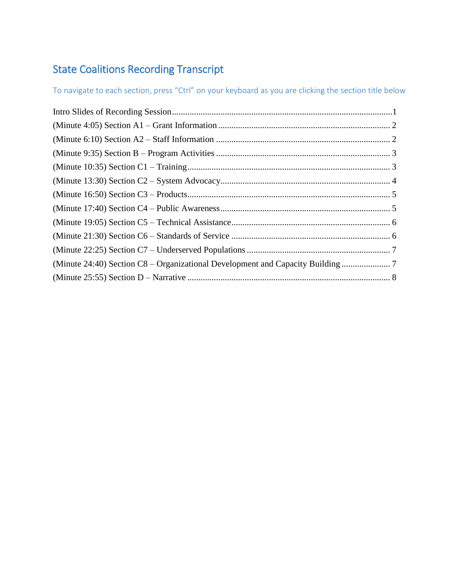# State Coalitions Recording Transcript

To navigate to each section, press "Ctrl" on your keyboard as you are clicking the section title below

| (Minute 24:40) Section C8 – Organizational Development and Capacity Building |
|------------------------------------------------------------------------------|
|                                                                              |
|                                                                              |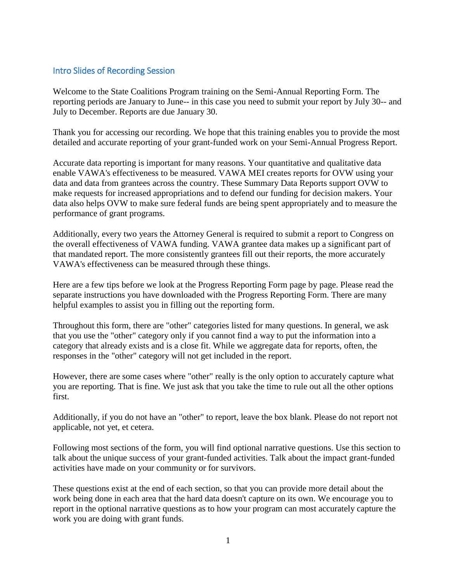#### <span id="page-1-0"></span>Intro Slides of Recording Session

Welcome to the State Coalitions Program training on the Semi-Annual Reporting Form. The reporting periods are January to June-- in this case you need to submit your report by July 30-- and July to December. Reports are due January 30.

Thank you for accessing our recording. We hope that this training enables you to provide the most detailed and accurate reporting of your grant-funded work on your Semi-Annual Progress Report.

Accurate data reporting is important for many reasons. Your quantitative and qualitative data enable VAWA's effectiveness to be measured. VAWA MEI creates reports for OVW using your data and data from grantees across the country. These Summary Data Reports support OVW to make requests for increased appropriations and to defend our funding for decision makers. Your data also helps OVW to make sure federal funds are being spent appropriately and to measure the performance of grant programs.

Additionally, every two years the Attorney General is required to submit a report to Congress on the overall effectiveness of VAWA funding. VAWA grantee data makes up a significant part of that mandated report. The more consistently grantees fill out their reports, the more accurately VAWA's effectiveness can be measured through these things.

Here are a few tips before we look at the Progress Reporting Form page by page. Please read the separate instructions you have downloaded with the Progress Reporting Form. There are many helpful examples to assist you in filling out the reporting form.

Throughout this form, there are "other" categories listed for many questions. In general, we ask that you use the "other" category only if you cannot find a way to put the information into a category that already exists and is a close fit. While we aggregate data for reports, often, the responses in the "other" category will not get included in the report.

However, there are some cases where "other" really is the only option to accurately capture what you are reporting. That is fine. We just ask that you take the time to rule out all the other options first.

Additionally, if you do not have an "other" to report, leave the box blank. Please do not report not applicable, not yet, et cetera.

Following most sections of the form, you will find optional narrative questions. Use this section to talk about the unique success of your grant-funded activities. Talk about the impact grant-funded activities have made on your community or for survivors.

These questions exist at the end of each section, so that you can provide more detail about the work being done in each area that the hard data doesn't capture on its own. We encourage you to report in the optional narrative questions as to how your program can most accurately capture the work you are doing with grant funds.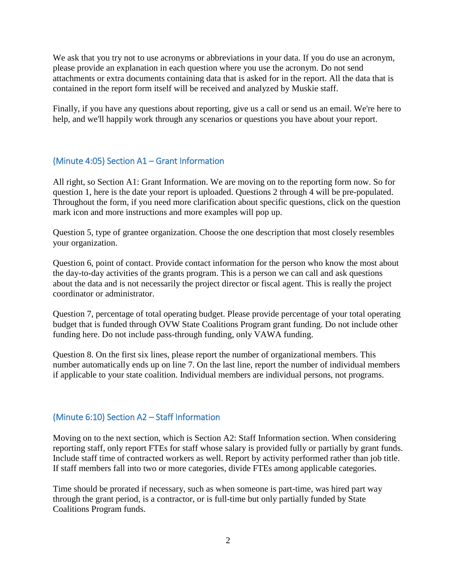We ask that you try not to use acronyms or abbreviations in your data. If you do use an acronym, please provide an explanation in each question where you use the acronym. Do not send attachments or extra documents containing data that is asked for in the report. All the data that is contained in the report form itself will be received and analyzed by Muskie staff.

Finally, if you have any questions about reporting, give us a call or send us an email. We're here to help, and we'll happily work through any scenarios or questions you have about your report.

## <span id="page-2-0"></span>(Minute 4:05) Section A1 – Grant Information

All right, so Section A1: Grant Information. We are moving on to the reporting form now. So for question 1, here is the date your report is uploaded. Questions 2 through 4 will be pre-populated. Throughout the form, if you need more clarification about specific questions, click on the question mark icon and more instructions and more examples will pop up.

Question 5, type of grantee organization. Choose the one description that most closely resembles your organization.

Question 6, point of contact. Provide contact information for the person who know the most about the day-to-day activities of the grants program. This is a person we can call and ask questions about the data and is not necessarily the project director or fiscal agent. This is really the project coordinator or administrator.

Question 7, percentage of total operating budget. Please provide percentage of your total operating budget that is funded through OVW State Coalitions Program grant funding. Do not include other funding here. Do not include pass-through funding, only VAWA funding.

Question 8. On the first six lines, please report the number of organizational members. This number automatically ends up on line 7. On the last line, report the number of individual members if applicable to your state coalition. Individual members are individual persons, not programs.

#### <span id="page-2-1"></span>(Minute 6:10) Section A2 – Staff Information

Moving on to the next section, which is Section A2: Staff Information section. When considering reporting staff, only report FTEs for staff whose salary is provided fully or partially by grant funds. Include staff time of contracted workers as well. Report by activity performed rather than job title. If staff members fall into two or more categories, divide FTEs among applicable categories.

Time should be prorated if necessary, such as when someone is part-time, was hired part way through the grant period, is a contractor, or is full-time but only partially funded by State Coalitions Program funds.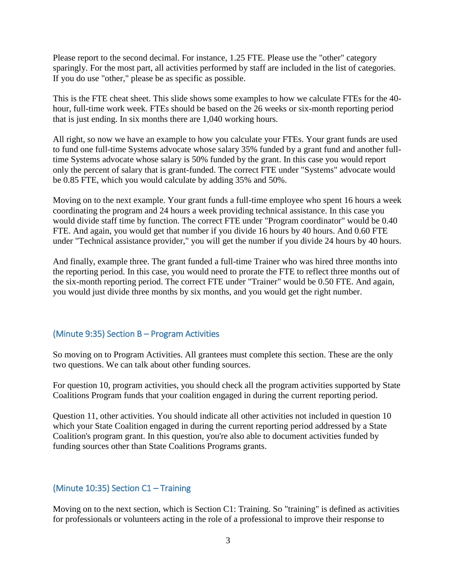Please report to the second decimal. For instance, 1.25 FTE. Please use the "other" category sparingly. For the most part, all activities performed by staff are included in the list of categories. If you do use "other," please be as specific as possible.

This is the FTE cheat sheet. This slide shows some examples to how we calculate FTEs for the 40 hour, full-time work week. FTEs should be based on the 26 weeks or six-month reporting period that is just ending. In six months there are 1,040 working hours.

All right, so now we have an example to how you calculate your FTEs. Your grant funds are used to fund one full-time Systems advocate whose salary 35% funded by a grant fund and another fulltime Systems advocate whose salary is 50% funded by the grant. In this case you would report only the percent of salary that is grant-funded. The correct FTE under "Systems" advocate would be 0.85 FTE, which you would calculate by adding 35% and 50%.

Moving on to the next example. Your grant funds a full-time employee who spent 16 hours a week coordinating the program and 24 hours a week providing technical assistance. In this case you would divide staff time by function. The correct FTE under "Program coordinator" would be 0.40 FTE. And again, you would get that number if you divide 16 hours by 40 hours. And 0.60 FTE under "Technical assistance provider," you will get the number if you divide 24 hours by 40 hours.

And finally, example three. The grant funded a full-time Trainer who was hired three months into the reporting period. In this case, you would need to prorate the FTE to reflect three months out of the six-month reporting period. The correct FTE under "Trainer" would be 0.50 FTE. And again, you would just divide three months by six months, and you would get the right number.

#### <span id="page-3-0"></span>(Minute 9:35) Section B – Program Activities

So moving on to Program Activities. All grantees must complete this section. These are the only two questions. We can talk about other funding sources.

For question 10, program activities, you should check all the program activities supported by State Coalitions Program funds that your coalition engaged in during the current reporting period.

Question 11, other activities. You should indicate all other activities not included in question 10 which your State Coalition engaged in during the current reporting period addressed by a State Coalition's program grant. In this question, you're also able to document activities funded by funding sources other than State Coalitions Programs grants.

## <span id="page-3-1"></span>(Minute 10:35) Section  $C1 -$  Training

Moving on to the next section, which is Section C1: Training. So "training" is defined as activities for professionals or volunteers acting in the role of a professional to improve their response to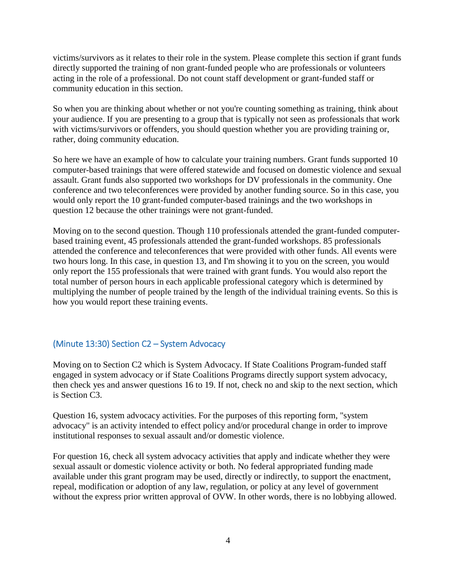victims/survivors as it relates to their role in the system. Please complete this section if grant funds directly supported the training of non grant-funded people who are professionals or volunteers acting in the role of a professional. Do not count staff development or grant-funded staff or community education in this section.

So when you are thinking about whether or not you're counting something as training, think about your audience. If you are presenting to a group that is typically not seen as professionals that work with victims/survivors or offenders, you should question whether you are providing training or, rather, doing community education.

So here we have an example of how to calculate your training numbers. Grant funds supported 10 computer-based trainings that were offered statewide and focused on domestic violence and sexual assault. Grant funds also supported two workshops for DV professionals in the community. One conference and two teleconferences were provided by another funding source. So in this case, you would only report the 10 grant-funded computer-based trainings and the two workshops in question 12 because the other trainings were not grant-funded.

Moving on to the second question. Though 110 professionals attended the grant-funded computerbased training event, 45 professionals attended the grant-funded workshops. 85 professionals attended the conference and teleconferences that were provided with other funds. All events were two hours long. In this case, in question 13, and I'm showing it to you on the screen, you would only report the 155 professionals that were trained with grant funds. You would also report the total number of person hours in each applicable professional category which is determined by multiplying the number of people trained by the length of the individual training events. So this is how you would report these training events.

## <span id="page-4-0"></span>(Minute 13:30) Section C2 – System Advocacy

Moving on to Section C2 which is System Advocacy. If State Coalitions Program-funded staff engaged in system advocacy or if State Coalitions Programs directly support system advocacy, then check yes and answer questions 16 to 19. If not, check no and skip to the next section, which is Section C3.

Question 16, system advocacy activities. For the purposes of this reporting form, "system advocacy" is an activity intended to effect policy and/or procedural change in order to improve institutional responses to sexual assault and/or domestic violence.

For question 16, check all system advocacy activities that apply and indicate whether they were sexual assault or domestic violence activity or both. No federal appropriated funding made available under this grant program may be used, directly or indirectly, to support the enactment, repeal, modification or adoption of any law, regulation, or policy at any level of government without the express prior written approval of OVW. In other words, there is no lobbying allowed.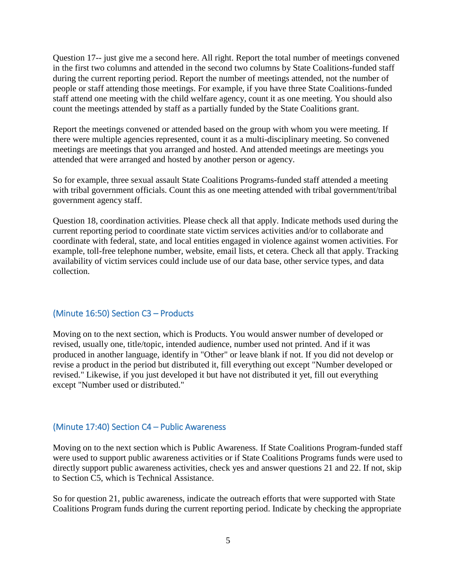Question 17-- just give me a second here. All right. Report the total number of meetings convened in the first two columns and attended in the second two columns by State Coalitions-funded staff during the current reporting period. Report the number of meetings attended, not the number of people or staff attending those meetings. For example, if you have three State Coalitions-funded staff attend one meeting with the child welfare agency, count it as one meeting. You should also count the meetings attended by staff as a partially funded by the State Coalitions grant.

Report the meetings convened or attended based on the group with whom you were meeting. If there were multiple agencies represented, count it as a multi-disciplinary meeting. So convened meetings are meetings that you arranged and hosted. And attended meetings are meetings you attended that were arranged and hosted by another person or agency.

So for example, three sexual assault State Coalitions Programs-funded staff attended a meeting with tribal government officials. Count this as one meeting attended with tribal government/tribal government agency staff.

Question 18, coordination activities. Please check all that apply. Indicate methods used during the current reporting period to coordinate state victim services activities and/or to collaborate and coordinate with federal, state, and local entities engaged in violence against women activities. For example, toll-free telephone number, website, email lists, et cetera. Check all that apply. Tracking availability of victim services could include use of our data base, other service types, and data collection.

#### <span id="page-5-0"></span>(Minute 16:50) Section C3 – Products

Moving on to the next section, which is Products. You would answer number of developed or revised, usually one, title/topic, intended audience, number used not printed. And if it was produced in another language, identify in "Other" or leave blank if not. If you did not develop or revise a product in the period but distributed it, fill everything out except "Number developed or revised." Likewise, if you just developed it but have not distributed it yet, fill out everything except "Number used or distributed."

#### <span id="page-5-1"></span>(Minute 17:40) Section C4 – Public Awareness

Moving on to the next section which is Public Awareness. If State Coalitions Program-funded staff were used to support public awareness activities or if State Coalitions Programs funds were used to directly support public awareness activities, check yes and answer questions 21 and 22. If not, skip to Section C5, which is Technical Assistance.

So for question 21, public awareness, indicate the outreach efforts that were supported with State Coalitions Program funds during the current reporting period. Indicate by checking the appropriate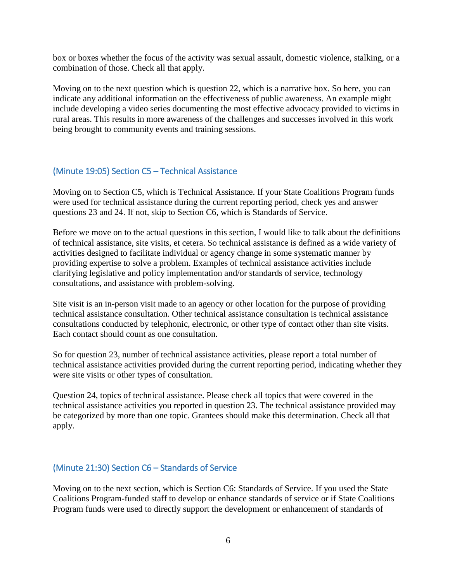box or boxes whether the focus of the activity was sexual assault, domestic violence, stalking, or a combination of those. Check all that apply.

Moving on to the next question which is question 22, which is a narrative box. So here, you can indicate any additional information on the effectiveness of public awareness. An example might include developing a video series documenting the most effective advocacy provided to victims in rural areas. This results in more awareness of the challenges and successes involved in this work being brought to community events and training sessions.

#### <span id="page-6-0"></span>(Minute 19:05) Section C5 – Technical Assistance

Moving on to Section C5, which is Technical Assistance. If your State Coalitions Program funds were used for technical assistance during the current reporting period, check yes and answer questions 23 and 24. If not, skip to Section C6, which is Standards of Service.

Before we move on to the actual questions in this section, I would like to talk about the definitions of technical assistance, site visits, et cetera. So technical assistance is defined as a wide variety of activities designed to facilitate individual or agency change in some systematic manner by providing expertise to solve a problem. Examples of technical assistance activities include clarifying legislative and policy implementation and/or standards of service, technology consultations, and assistance with problem-solving.

Site visit is an in-person visit made to an agency or other location for the purpose of providing technical assistance consultation. Other technical assistance consultation is technical assistance consultations conducted by telephonic, electronic, or other type of contact other than site visits. Each contact should count as one consultation.

So for question 23, number of technical assistance activities, please report a total number of technical assistance activities provided during the current reporting period, indicating whether they were site visits or other types of consultation.

Question 24, topics of technical assistance. Please check all topics that were covered in the technical assistance activities you reported in question 23. The technical assistance provided may be categorized by more than one topic. Grantees should make this determination. Check all that apply.

#### <span id="page-6-1"></span>(Minute 21:30) Section C6 – Standards of Service

Moving on to the next section, which is Section C6: Standards of Service. If you used the State Coalitions Program-funded staff to develop or enhance standards of service or if State Coalitions Program funds were used to directly support the development or enhancement of standards of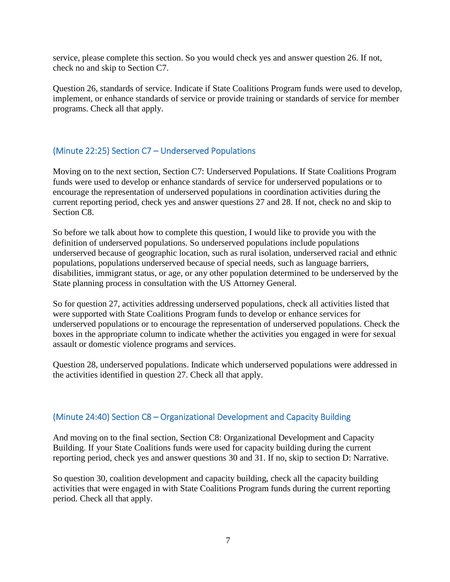service, please complete this section. So you would check yes and answer question 26. If not, check no and skip to Section C7.

Question 26, standards of service. Indicate if State Coalitions Program funds were used to develop, implement, or enhance standards of service or provide training or standards of service for member programs. Check all that apply.

## <span id="page-7-0"></span>(Minute 22:25) Section C7 – Underserved Populations

Moving on to the next section, Section C7: Underserved Populations. If State Coalitions Program funds were used to develop or enhance standards of service for underserved populations or to encourage the representation of underserved populations in coordination activities during the current reporting period, check yes and answer questions 27 and 28. If not, check no and skip to Section C<sub>8</sub>

So before we talk about how to complete this question, I would like to provide you with the definition of underserved populations. So underserved populations include populations underserved because of geographic location, such as rural isolation, underserved racial and ethnic populations, populations underserved because of special needs, such as language barriers, disabilities, immigrant status, or age, or any other population determined to be underserved by the State planning process in consultation with the US Attorney General.

So for question 27, activities addressing underserved populations, check all activities listed that were supported with State Coalitions Program funds to develop or enhance services for underserved populations or to encourage the representation of underserved populations. Check the boxes in the appropriate column to indicate whether the activities you engaged in were for sexual assault or domestic violence programs and services.

Question 28, underserved populations. Indicate which underserved populations were addressed in the activities identified in question 27. Check all that apply.

## <span id="page-7-1"></span>(Minute 24:40) Section C8 – Organizational Development and Capacity Building

And moving on to the final section, Section C8: Organizational Development and Capacity Building. If your State Coalitions funds were used for capacity building during the current reporting period, check yes and answer questions 30 and 31. If no, skip to section D: Narrative.

So question 30, coalition development and capacity building, check all the capacity building activities that were engaged in with State Coalitions Program funds during the current reporting period. Check all that apply.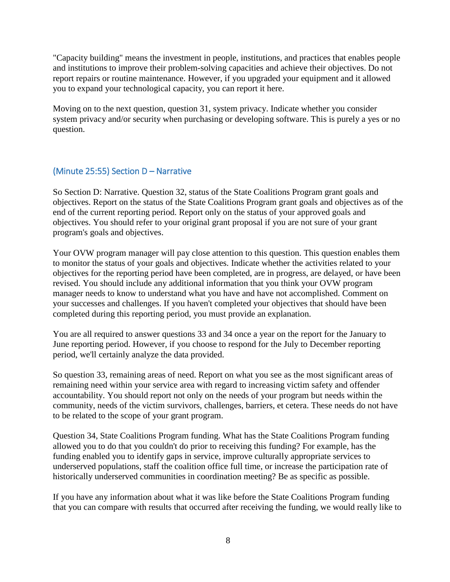"Capacity building" means the investment in people, institutions, and practices that enables people and institutions to improve their problem-solving capacities and achieve their objectives. Do not report repairs or routine maintenance. However, if you upgraded your equipment and it allowed you to expand your technological capacity, you can report it here.

Moving on to the next question, question 31, system privacy. Indicate whether you consider system privacy and/or security when purchasing or developing software. This is purely a yes or no question.

### <span id="page-8-0"></span>(Minute 25:55) Section D – Narrative

So Section D: Narrative. Question 32, status of the State Coalitions Program grant goals and objectives. Report on the status of the State Coalitions Program grant goals and objectives as of the end of the current reporting period. Report only on the status of your approved goals and objectives. You should refer to your original grant proposal if you are not sure of your grant program's goals and objectives.

Your OVW program manager will pay close attention to this question. This question enables them to monitor the status of your goals and objectives. Indicate whether the activities related to your objectives for the reporting period have been completed, are in progress, are delayed, or have been revised. You should include any additional information that you think your OVW program manager needs to know to understand what you have and have not accomplished. Comment on your successes and challenges. If you haven't completed your objectives that should have been completed during this reporting period, you must provide an explanation.

You are all required to answer questions 33 and 34 once a year on the report for the January to June reporting period. However, if you choose to respond for the July to December reporting period, we'll certainly analyze the data provided.

So question 33, remaining areas of need. Report on what you see as the most significant areas of remaining need within your service area with regard to increasing victim safety and offender accountability. You should report not only on the needs of your program but needs within the community, needs of the victim survivors, challenges, barriers, et cetera. These needs do not have to be related to the scope of your grant program.

Question 34, State Coalitions Program funding. What has the State Coalitions Program funding allowed you to do that you couldn't do prior to receiving this funding? For example, has the funding enabled you to identify gaps in service, improve culturally appropriate services to underserved populations, staff the coalition office full time, or increase the participation rate of historically underserved communities in coordination meeting? Be as specific as possible.

If you have any information about what it was like before the State Coalitions Program funding that you can compare with results that occurred after receiving the funding, we would really like to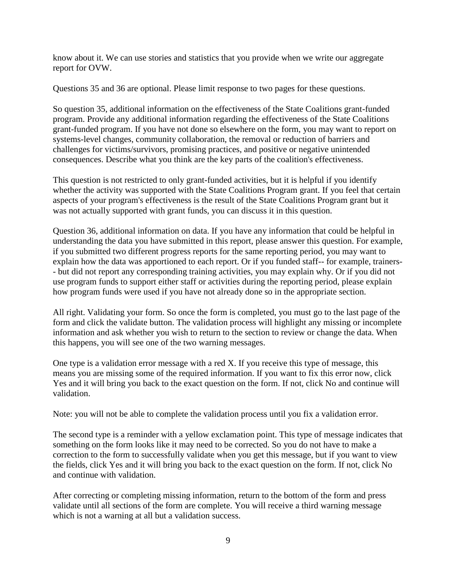know about it. We can use stories and statistics that you provide when we write our aggregate report for OVW.

Questions 35 and 36 are optional. Please limit response to two pages for these questions.

So question 35, additional information on the effectiveness of the State Coalitions grant-funded program. Provide any additional information regarding the effectiveness of the State Coalitions grant-funded program. If you have not done so elsewhere on the form, you may want to report on systems-level changes, community collaboration, the removal or reduction of barriers and challenges for victims/survivors, promising practices, and positive or negative unintended consequences. Describe what you think are the key parts of the coalition's effectiveness.

This question is not restricted to only grant-funded activities, but it is helpful if you identify whether the activity was supported with the State Coalitions Program grant. If you feel that certain aspects of your program's effectiveness is the result of the State Coalitions Program grant but it was not actually supported with grant funds, you can discuss it in this question.

Question 36, additional information on data. If you have any information that could be helpful in understanding the data you have submitted in this report, please answer this question. For example, if you submitted two different progress reports for the same reporting period, you may want to explain how the data was apportioned to each report. Or if you funded staff-- for example, trainers- - but did not report any corresponding training activities, you may explain why. Or if you did not use program funds to support either staff or activities during the reporting period, please explain how program funds were used if you have not already done so in the appropriate section.

All right. Validating your form. So once the form is completed, you must go to the last page of the form and click the validate button. The validation process will highlight any missing or incomplete information and ask whether you wish to return to the section to review or change the data. When this happens, you will see one of the two warning messages.

One type is a validation error message with a red X. If you receive this type of message, this means you are missing some of the required information. If you want to fix this error now, click Yes and it will bring you back to the exact question on the form. If not, click No and continue will validation.

Note: you will not be able to complete the validation process until you fix a validation error.

The second type is a reminder with a yellow exclamation point. This type of message indicates that something on the form looks like it may need to be corrected. So you do not have to make a correction to the form to successfully validate when you get this message, but if you want to view the fields, click Yes and it will bring you back to the exact question on the form. If not, click No and continue with validation.

After correcting or completing missing information, return to the bottom of the form and press validate until all sections of the form are complete. You will receive a third warning message which is not a warning at all but a validation success.